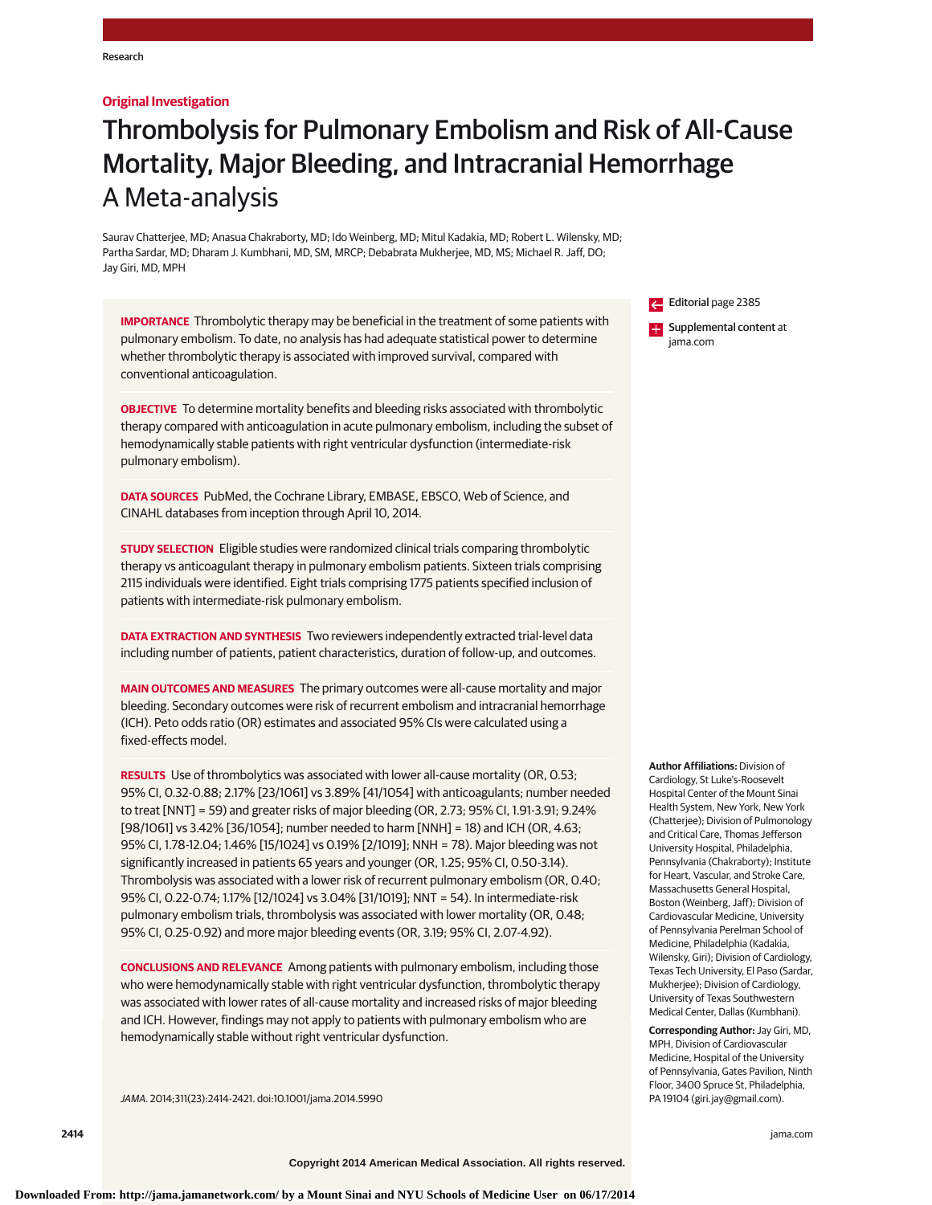## **Original Investigation**

# Thrombolysis for Pulmonary Embolism and Risk of All-Cause Mortality, Major Bleeding, and Intracranial Hemorrhage A Meta-analysis

Saurav Chatterjee, MD; Anasua Chakraborty, MD; Ido Weinberg, MD; Mitul Kadakia, MD; Robert L. Wilensky, MD; Partha Sardar, MD; Dharam J. Kumbhani, MD, SM, MRCP; Debabrata Mukherjee, MD, MS; Michael R. Jaff, DO; Jay Giri, MD, MPH

**IMPORTANCE** Thrombolytic therapy may be beneficial in the treatment of some patients with pulmonary embolism. To date, no analysis has had adequate statistical power to determine whether thrombolytic therapy is associated with improved survival, compared with conventional anticoagulation.

**OBJECTIVE** To determine mortality benefits and bleeding risks associated with thrombolytic therapy compared with anticoagulation in acute pulmonary embolism, including the subset of hemodynamically stable patients with right ventricular dysfunction (intermediate-risk pulmonary embolism).

**DATA SOURCES** PubMed, the Cochrane Library, EMBASE, EBSCO, Web of Science, and CINAHL databases from inception through April 10, 2014.

**STUDY SELECTION** Eligible studies were randomized clinical trials comparing thrombolytic therapy vs anticoagulant therapy in pulmonary embolism patients. Sixteen trials comprising 2115 individuals were identified. Eight trials comprising 1775 patients specified inclusion of patients with intermediate-risk pulmonary embolism.

**DATA EXTRACTION AND SYNTHESIS** Two reviewers independently extracted trial-level data including number of patients, patient characteristics, duration of follow-up, and outcomes.

**MAIN OUTCOMES AND MEASURES** The primary outcomes were all-cause mortality and major bleeding. Secondary outcomes were risk of recurrent embolism and intracranial hemorrhage (ICH). Peto odds ratio (OR) estimates and associated 95% CIs were calculated using a fixed-effects model.

**RESULTS** Use of thrombolytics was associated with lower all-cause mortality (OR, 0.53; 95% CI, 0.32-0.88; 2.17% [23/1061] vs 3.89% [41/1054] with anticoagulants; number needed to treat [NNT] = 59) and greater risks of major bleeding (OR, 2.73; 95% CI, 1.91-3.91; 9.24% [98/1061] vs 3.42% [36/1054]; number needed to harm [NNH] = 18) and ICH (OR, 4.63; 95% CI, 1.78-12.04; 1.46% [15/1024] vs 0.19% [2/1019]; NNH = 78). Major bleeding was not significantly increased in patients 65 years and younger (OR, 1.25; 95% CI, 0.50-3.14). Thrombolysis was associated with a lower risk of recurrent pulmonary embolism (OR, 0.40; 95% CI, 0.22-0.74; 1.17% [12/1024] vs 3.04% [31/1019]; NNT = 54). In intermediate-risk pulmonary embolism trials, thrombolysis was associated with lower mortality (OR, 0.48; 95% CI, 0.25-0.92) and more major bleeding events (OR, 3.19; 95% CI, 2.07-4.92).

**CONCLUSIONS AND RELEVANCE** Among patients with pulmonary embolism, including those who were hemodynamically stable with right ventricular dysfunction, thrombolytic therapy was associated with lower rates of all-cause mortality and increased risks of major bleeding and ICH. However, findings may not apply to patients with pulmonary embolism who are hemodynamically stable without right ventricular dysfunction.

JAMA. 2014;311(23):2414-2421. doi:10.1001/jama.2014.5990

Editorial page 2385

**E-**Supplemental content at jama.com

**Author Affiliations:** Division of Cardiology, St Luke's-Roosevelt Hospital Center of the Mount Sinai Health System, New York, New York (Chatterjee); Division of Pulmonology and Critical Care, Thomas Jefferson University Hospital, Philadelphia, Pennsylvania (Chakraborty); Institute for Heart, Vascular, and Stroke Care, Massachusetts General Hospital, Boston (Weinberg, Jaff); Division of Cardiovascular Medicine, University of Pennsylvania Perelman School of Medicine, Philadelphia (Kadakia, Wilensky, Giri); Division of Cardiology, Texas Tech University, El Paso (Sardar, Mukherjee); Division of Cardiology, University of Texas Southwestern Medical Center, Dallas (Kumbhani).

**Corresponding Author:** Jay Giri, MD, MPH, Division of Cardiovascular Medicine, Hospital of the University of Pennsylvania, Gates Pavilion, Ninth Floor, 3400 Spruce St, Philadelphia, PA 19104 (giri.jay@gmail.com).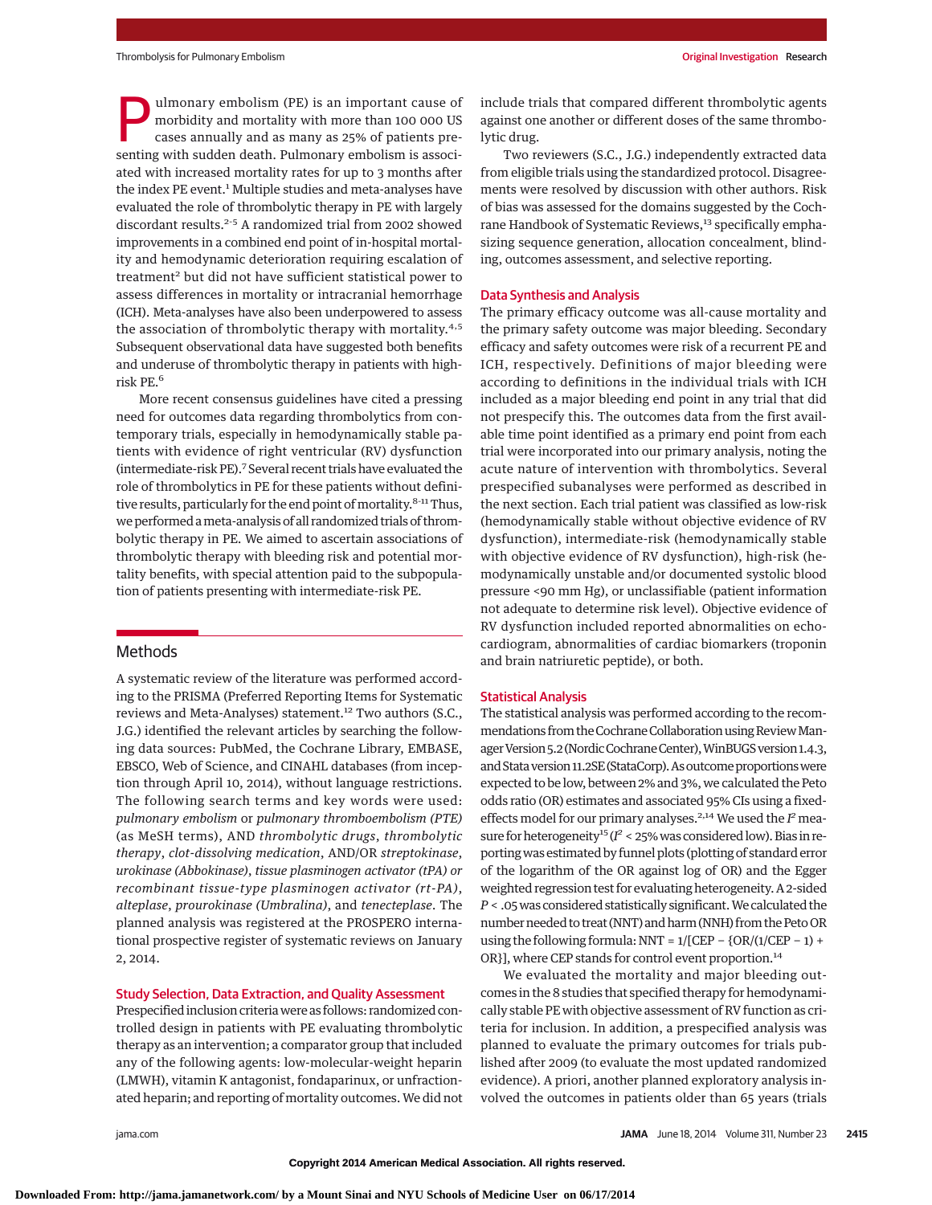all monary embolism (PE) is an important cause of<br>morbidity and mortality with more than 100 000 US<br>cases annually and as many as 25% of patients pre-<br>senting with sudden death. Pulmonary embolism is associmorbidity and mortality with more than 100 000 US senting with sudden death. Pulmonary embolism is associated with increased mortality rates for up to 3 months after the index PE event.<sup>1</sup> Multiple studies and meta-analyses have evaluated the role of thrombolytic therapy in PE with largely discordant results.<sup>2-5</sup> A randomized trial from 2002 showed improvements in a combined end point of in-hospital mortality and hemodynamic deterioration requiring escalation of treatment<sup>2</sup> but did not have sufficient statistical power to assess differences in mortality or intracranial hemorrhage (ICH). Meta-analyses have also been underpowered to assess the association of thrombolytic therapy with mortality.4,5 Subsequent observational data have suggested both benefits and underuse of thrombolytic therapy in patients with highrisk PE.6

More recent consensus guidelines have cited a pressing need for outcomes data regarding thrombolytics from contemporary trials, especially in hemodynamically stable patients with evidence of right ventricular (RV) dysfunction (intermediate-risk PE).7Several recent trials have evaluated the role of thrombolytics in PE for these patients without definitive results, particularly for the end point of mortality.<sup>8-11</sup> Thus, we performed ameta-analysis of all randomized trials of thrombolytic therapy in PE. We aimed to ascertain associations of thrombolytic therapy with bleeding risk and potential mortality benefits, with special attention paid to the subpopulation of patients presenting with intermediate-risk PE.

# Methods

A systematic review of the literature was performed according to the PRISMA (Preferred Reporting Items for Systematic reviews and Meta-Analyses) statement.<sup>12</sup> Two authors (S.C., J.G.) identified the relevant articles by searching the following data sources: PubMed, the Cochrane Library, EMBASE, EBSCO, Web of Science, and CINAHL databases (from inception through April 10, 2014), without language restrictions. The following search terms and key words were used: *pulmonary embolism* or *pulmonary thromboembolism (PTE)* (as MeSH terms), AND *thrombolytic drugs*, *thrombolytic therapy*, *clot-dissolving medication*, AND/OR *streptokinase*, *urokinase (Abbokinase)*, *tissue plasminogen activator (tPA) or recombinant tissue-type plasminogen activator (rt-PA)*, *alteplase*, *prourokinase (Umbralina)*, and *tenecteplase*. The planned analysis was registered at the PROSPERO international prospective register of systematic reviews on January 2, 2014.

## Study Selection, Data Extraction, and Quality Assessment

Prespecified inclusion criteriawere as follows: randomized controlled design in patients with PE evaluating thrombolytic therapy as an intervention; a comparator group that included any of the following agents: low-molecular-weight heparin (LMWH), vitamin K antagonist, fondaparinux, or unfractionated heparin; and reporting of mortality outcomes.We did not

**Downloaded From: http://jama.jamanetwork.com/ by a Mount Sinai and NYU Schools of Medicine User on 06/17/2014**

include trials that compared different thrombolytic agents against one another or different doses of the same thrombolytic drug.

Two reviewers (S.C., J.G.) independently extracted data from eligible trials using the standardized protocol. Disagreements were resolved by discussion with other authors. Risk of bias was assessed for the domains suggested by the Cochrane Handbook of Systematic Reviews,<sup>13</sup> specifically emphasizing sequence generation, allocation concealment, blinding, outcomes assessment, and selective reporting.

## Data Synthesis and Analysis

The primary efficacy outcome was all-cause mortality and the primary safety outcome was major bleeding. Secondary efficacy and safety outcomes were risk of a recurrent PE and ICH, respectively. Definitions of major bleeding were according to definitions in the individual trials with ICH included as a major bleeding end point in any trial that did not prespecify this. The outcomes data from the first available time point identified as a primary end point from each trial were incorporated into our primary analysis, noting the acute nature of intervention with thrombolytics. Several prespecified subanalyses were performed as described in the next section. Each trial patient was classified as low-risk (hemodynamically stable without objective evidence of RV dysfunction), intermediate-risk (hemodynamically stable with objective evidence of RV dysfunction), high-risk (hemodynamically unstable and/or documented systolic blood pressure <90 mm Hg), or unclassifiable (patient information not adequate to determine risk level). Objective evidence of RV dysfunction included reported abnormalities on echocardiogram, abnormalities of cardiac biomarkers (troponin and brain natriuretic peptide), or both.

## Statistical Analysis

The statistical analysis was performed according to the recommendations from the Cochrane Collaboration using Review Manager Version 5.2 (Nordic Cochrane Center), WinBUGS version 1.4.3, and Stata version 11.2SE (StataCorp). As outcome proportions were expected to be low, between 2% and 3%, we calculated the Peto odds ratio (OR) estimates and associated 95% CIs using a fixedeffects model for our primary analyses.<sup>2,14</sup> We used the  $I<sup>2</sup>$  measure for heterogeneity<sup>15</sup> ( $l^2$  < 25% was considered low). Bias in reporting was estimated by funnel plots (plotting of standard error of the logarithm of the OR against log of OR) and the Egger weighted regression test for evaluating heterogeneity. A 2-sided *P* < .05was considered statistically significant.We calculated the number needed to treat (NNT) and harm (NNH) from the Peto OR using the following formula: NNT =  $1/[CEP - {OR/(1/CEP - 1)} +$ OR}], where CEP stands for control event proportion.<sup>14</sup>

We evaluated the mortality and major bleeding outcomes in the 8 studies that specified therapy for hemodynamically stable PE with objective assessment of RV function as criteria for inclusion. In addition, a prespecified analysis was planned to evaluate the primary outcomes for trials published after 2009 (to evaluate the most updated randomized evidence). A priori, another planned exploratory analysis involved the outcomes in patients older than 65 years (trials

**Copyright 2014 American Medical Association. All rights reserved.**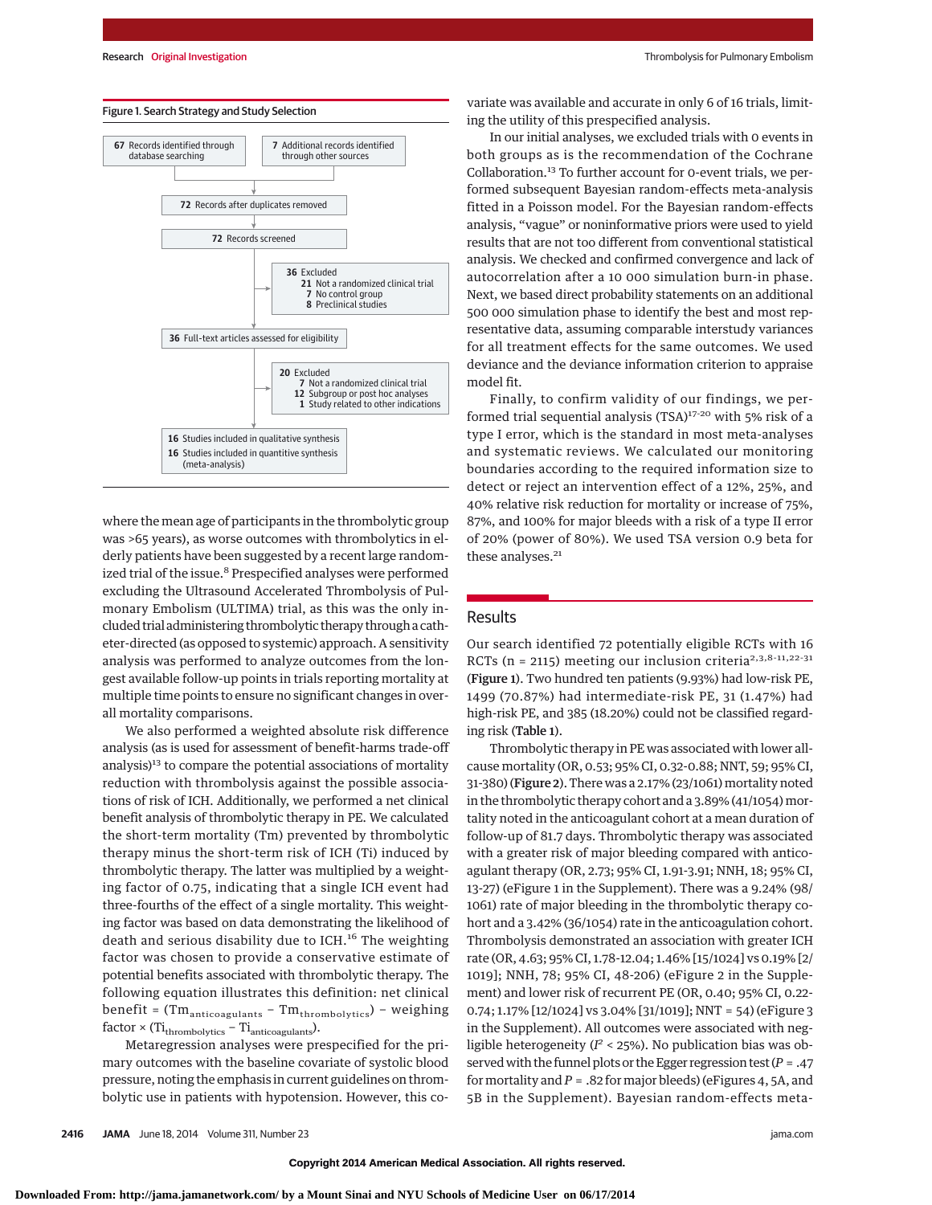

where the mean age of participants in the thrombolytic group was >65 years), as worse outcomes with thrombolytics in elderly patients have been suggested by a recent large randomized trial of the issue.<sup>8</sup> Prespecified analyses were performed excluding the Ultrasound Accelerated Thrombolysis of Pulmonary Embolism (ULTIMA) trial, as this was the only included trial administering thrombolytic therapy through a catheter-directed (as opposed to systemic) approach. A sensitivity analysis was performed to analyze outcomes from the longest available follow-up points in trials reporting mortality at multiple time points to ensure no significant changes in overall mortality comparisons.

We also performed a weighted absolute risk difference analysis (as is used for assessment of benefit-harms trade-off analysis) $13$  to compare the potential associations of mortality reduction with thrombolysis against the possible associations of risk of ICH. Additionally, we performed a net clinical benefit analysis of thrombolytic therapy in PE. We calculated the short-term mortality (Tm) prevented by thrombolytic therapy minus the short-term risk of ICH (Ti) induced by thrombolytic therapy. The latter was multiplied by a weighting factor of 0.75, indicating that a single ICH event had three-fourths of the effect of a single mortality. This weighting factor was based on data demonstrating the likelihood of death and serious disability due to ICH.<sup>16</sup> The weighting factor was chosen to provide a conservative estimate of potential benefits associated with thrombolytic therapy. The following equation illustrates this definition: net clinical  $benefit = (Tm_{anticogulants} - Tm_{throughoids}) - weighing$  $factor \times (Ti_{\text{thrombolytics}} - Ti_{\text{anticogulants}}).$ 

Metaregression analyses were prespecified for the primary outcomes with the baseline covariate of systolic blood pressure, noting the emphasis in current guidelines on thrombolytic use in patients with hypotension. However, this co-

**Downloaded From: http://jama.jamanetwork.com/ by a Mount Sinai and NYU Schools of Medicine User on 06/17/2014**

variate was available and accurate in only 6 of 16 trials, limiting the utility of this prespecified analysis.

In our initial analyses, we excluded trials with 0 events in both groups as is the recommendation of the Cochrane Collaboration.13 To further account for 0-event trials, we performed subsequent Bayesian random-effects meta-analysis fitted in a Poisson model. For the Bayesian random-effects analysis, "vague" or noninformative priors were used to yield results that are not too different from conventional statistical analysis. We checked and confirmed convergence and lack of autocorrelation after a 10 000 simulation burn-in phase. Next, we based direct probability statements on an additional 500 000 simulation phase to identify the best and most representative data, assuming comparable interstudy variances for all treatment effects for the same outcomes. We used deviance and the deviance information criterion to appraise model fit.

Finally, to confirm validity of our findings, we performed trial sequential analysis (TSA)17-20 with 5% risk of a type I error, which is the standard in most meta-analyses and systematic reviews. We calculated our monitoring boundaries according to the required information size to detect or reject an intervention effect of a 12%, 25%, and 40% relative risk reduction for mortality or increase of 75%, 87%, and 100% for major bleeds with a risk of a type II error of 20% (power of 80%). We used TSA version 0.9 beta for these analyses.<sup>21</sup>

## **Results**

Our search identified 72 potentially eligible RCTs with 16 RCTs (n = 2115) meeting our inclusion criteria<sup>2,3,8-11,22-31</sup> (Figure 1). Two hundred ten patients (9.93%) had low-risk PE, 1499 (70.87%) had intermediate-risk PE, 31 (1.47%) had high-risk PE, and 385 (18.20%) could not be classified regarding risk (Table 1).

Thrombolytic therapy in PE was associated with lower allcause mortality (OR, 0.53; 95% CI, 0.32-0.88; NNT, 59; 95% CI, 31-380) (Figure 2). There was a 2.17% (23/1061) mortality noted in the thrombolytic therapy cohort and a 3.89% (41/1054) mortality noted in the anticoagulant cohort at a mean duration of follow-up of 81.7 days. Thrombolytic therapy was associated with a greater risk of major bleeding compared with anticoagulant therapy (OR, 2.73; 95% CI, 1.91-3.91; NNH, 18; 95% CI, 13-27) (eFigure 1 in the Supplement). There was a 9.24% (98/ 1061) rate of major bleeding in the thrombolytic therapy cohort and a 3.42% (36/1054) rate in the anticoagulation cohort. Thrombolysis demonstrated an association with greater ICH rate (OR, 4.63; 95% CI, 1.78-12.04; 1.46% [15/1024] vs 0.19% [2/ 1019]; NNH, 78; 95% CI, 48-206) (eFigure 2 in the Supplement) and lower risk of recurrent PE (OR, 0.40; 95% CI, 0.22- 0.74; 1.17% [12/1024] vs 3.04% [31/1019]; NNT = 54) (eFigure 3 in the Supplement). All outcomes were associated with negligible heterogeneity (*I <sup>2</sup>* < 25%). No publication bias was observedwith the funnel plots or the Egger regression test (*P* = .47 for mortality and *P* = .82 for major bleeds) (eFigures 4, 5A, and 5B in the Supplement). Bayesian random-effects meta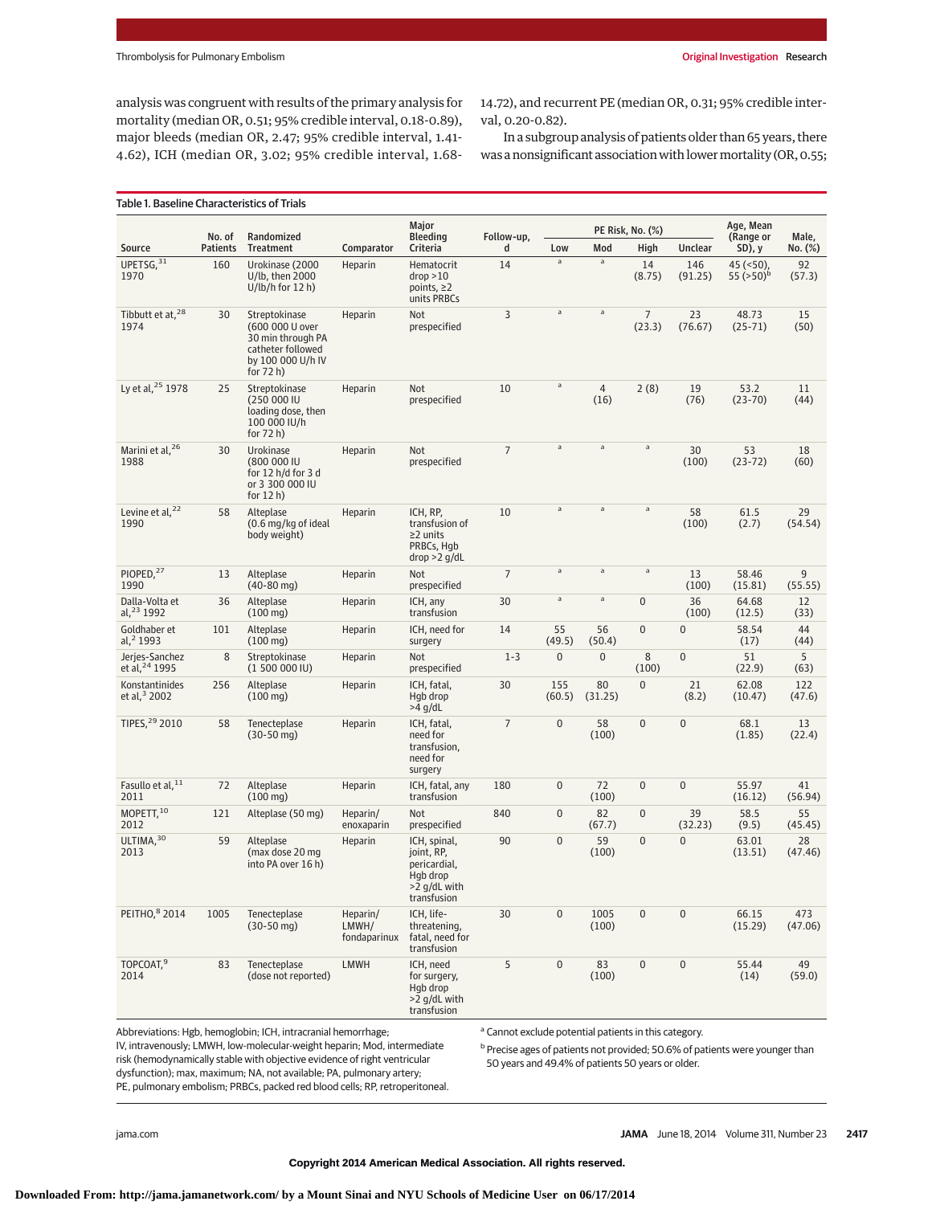analysis was congruent with results of the primary analysis for mortality (median OR, 0.51; 95% credible interval, 0.18-0.89), major bleeds (median OR, 2.47; 95% credible interval, 1.41- 4.62), ICH (median OR, 3.02; 95% credible interval, 1.6814.72), and recurrent PE (median OR, 0.31; 95% credible interval, 0.20-0.82).

In a subgroup analysis of patients older than 65 years, there was a nonsignificant association with lower mortality (OR, 0.55;

| Table 1. Baseline Characteristics of Trials |                 |                                                                                                                 |                                   |                                                                                       |                |                  |                        |                          |                |                               |                |
|---------------------------------------------|-----------------|-----------------------------------------------------------------------------------------------------------------|-----------------------------------|---------------------------------------------------------------------------------------|----------------|------------------|------------------------|--------------------------|----------------|-------------------------------|----------------|
|                                             | No. of          | Randomized                                                                                                      |                                   | <b>Major</b><br><b>Bleeding</b>                                                       | Follow-up.     | PE Risk, No. (%) |                        |                          |                | Age, Mean<br>(Range or        | Male,          |
| Source                                      | <b>Patients</b> | <b>Treatment</b>                                                                                                | Comparator                        | Criteria                                                                              | d              | Low              | Mod                    | High                     | Unclear        | SD), y                        | No. (%)        |
| UPETSG, 31<br>1970                          | 160             | Urokinase (2000<br>U/lb, then 2000<br>$U/lb/h$ for 12 h)                                                        | Heparin                           | Hematocrit<br>drop > 10<br>points, $\geq$ 2<br>units PRBCs                            | 14             | $\mathsf{a}$     | $\mathsf a$            | 14<br>(8.75)             | 146<br>(91.25) | $45 (< 50)$ ,<br>55 $(>50)^b$ | 92<br>(57.3)   |
| Tibbutt et at, <sup>28</sup><br>1974        | 30              | Streptokinase<br>(600 000 U over<br>30 min through PA<br>catheter followed<br>by 100 000 U/h IV<br>for $72 h$ ) | Heparin                           | Not<br>prespecified                                                                   | 3              | a                | $\mathsf{a}$           | $\overline{7}$<br>(23.3) | 23<br>(76.67)  | 48.73<br>$(25-71)$            | 15<br>(50)     |
| Ly et al, <sup>25</sup> 1978                | 25              | Streptokinase<br>(250 000 IU<br>loading dose, then<br>100 000 IU/h<br>for $72 h$ )                              | Heparin                           | Not<br>prespecified                                                                   | 10             | a                | $\overline{4}$<br>(16) | 2(8)                     | 19<br>(76)     | 53.2<br>$(23-70)$             | 11<br>(44)     |
| Marini et al, <sup>26</sup><br>1988         | 30              | Urokinase<br>(800 000 IU<br>for 12 h/d for 3 d<br>or 3 300 000 IU<br>for $12h$ )                                | Heparin                           | Not<br>prespecified                                                                   | $\overline{7}$ | a                | $\mathsf a$            | $\mathsf{a}$             | 30<br>(100)    | 53<br>$(23-72)$               | 18<br>(60)     |
| Levine et al, <sup>22</sup><br>1990         | 58              | Alteplase<br>(0.6 mg/kg of ideal<br>body weight)                                                                | Heparin                           | ICH, RP,<br>transfusion of<br>$\geq$ 2 units<br>PRBCs, Hgb<br>drop > 2 g/dL           | 10             | a                | $\mathsf{a}$           | $\mathsf{a}$             | 58<br>(100)    | 61.5<br>(2.7)                 | 29<br>(54.54)  |
| PIOPED, 27<br>1990                          | 13              | Alteplase<br>$(40-80$ mg)                                                                                       | Heparin                           | Not<br>prespecified                                                                   | $\overline{7}$ | a                | $\mathsf a$            | $\mathsf a$              | 13<br>(100)    | 58.46<br>(15.81)              | 9<br>(55.55)   |
| Dalla-Volta et<br>al, 23 1992               | 36              | Alteplase<br>$(100 \,\mathrm{mg})$                                                                              | Heparin                           | ICH, any<br>transfusion                                                               | 30             | a                | $\mathsf a$            | $\mathbf{0}$             | 36<br>(100)    | 64.68<br>(12.5)               | 12<br>(33)     |
| Goldhaber et<br>al, $2$ 1993                | 101             | Alteplase<br>$(100 \,\mathrm{mg})$                                                                              | Heparin                           | ICH, need for<br>surgery                                                              | 14             | 55<br>(49.5)     | 56<br>(50.4)           | $\mathbf{0}$             | $\mathbf{0}$   | 58.54<br>(17)                 | 44<br>(44)     |
| Jerjes-Sanchez<br>et al, 24 1995            | 8               | Streptokinase<br>$(1 500 000$ IU)                                                                               | Heparin                           | Not<br>prespecified                                                                   | $1 - 3$        | $\mathbf{0}$     | $\mathbf{0}$           | 8<br>(100)               | $\overline{0}$ | 51<br>(22.9)                  | 5<br>(63)      |
| Konstantinides<br>et al, 3 2002             | 256             | Alteplase<br>$(100 \,\mathrm{mg})$                                                                              | Heparin                           | ICH, fatal,<br>Hgb drop<br>$>4$ g/dL                                                  | 30             | 155<br>(60.5)    | 80<br>(31.25)          | $\mathbf{0}$             | 21<br>(8.2)    | 62.08<br>(10.47)              | 122<br>(47.6)  |
| TIPES, 29 2010                              | 58              | Tenecteplase<br>$(30-50 \text{ mg})$                                                                            | Heparin                           | ICH, fatal,<br>need for<br>transfusion,<br>need for<br>surgery                        | $\overline{7}$ | $\pmb{0}$        | 58<br>(100)            | $\mathbf{0}$             | $\mathbf 0$    | 68.1<br>(1.85)                | 13<br>(22.4)   |
| Fasullo et al, 11<br>2011                   | 72              | Alteplase<br>$(100 \,\mathrm{mq})$                                                                              | Heparin                           | ICH, fatal, any<br>transfusion                                                        | 180            | $\pmb{0}$        | 72<br>(100)            | $\pmb{0}$                | $\mathbf 0$    | 55.97<br>(16.12)              | 41<br>(56.94)  |
| MOPETT, 10<br>2012                          | 121             | Alteplase (50 mg)                                                                                               | Heparin/<br>enoxaparin            | Not<br>prespecified                                                                   | 840            | $\pmb{0}$        | 82<br>(67.7)           | $\mathbf{0}$             | 39<br>(32.23)  | 58.5<br>(9.5)                 | 55<br>(45.45)  |
| ULTIMA, 30<br>2013                          | 59              | Alteplase<br>(max dose 20 mg<br>into PA over 16 h)                                                              | Heparin                           | ICH, spinal,<br>joint, RP,<br>pericardial,<br>Hgb drop<br>>2 g/dL with<br>transfusion | 90             | $\mathbf{0}$     | 59<br>(100)            | $\mathbf{0}$             | $\mathbf{0}$   | 63.01<br>(13.51)              | 28<br>(47.46)  |
| PEITHO, 8 2014                              | 1005            | Tenecteplase<br>$(30-50 \text{ mg})$                                                                            | Heparin/<br>LMWH/<br>fondaparinux | ICH, life-<br>threatening,<br>fatal, need for<br>transfusion                          | 30             | $\pmb{0}$        | 1005<br>(100)          | $\pmb{0}$                | $\pmb{0}$      | 66.15<br>(15.29)              | 473<br>(47.06) |
| TOPCOAT, <sup>9</sup><br>2014               | 83              | Tenecteplase<br>(dose not reported)                                                                             | <b>LMWH</b>                       | ICH. need<br>for surgery,<br>Hqb drop<br>>2 g/dL with<br>transfusion                  | 5              | $\mathbf{0}$     | 83<br>(100)            | $\overline{0}$           | $\mathbf{0}$   | 55.44<br>(14)                 | 49<br>(59.0)   |

Abbreviations: Hgb, hemoglobin; ICH, intracranial hemorrhage; IV, intravenously; LMWH, low-molecular-weight heparin; Mod, intermediate <sup>a</sup> Cannot exclude potential patients in this category.

b Precise ages of patients not provided; 50.6% of patients were younger than

risk (hemodynamically stable with objective evidence of right ventricular dysfunction); max, maximum; NA, not available; PA, pulmonary artery; PE, pulmonary embolism; PRBCs, packed red blood cells; RP, retroperitoneal. 50 years and 49.4% of patients 50 years or older.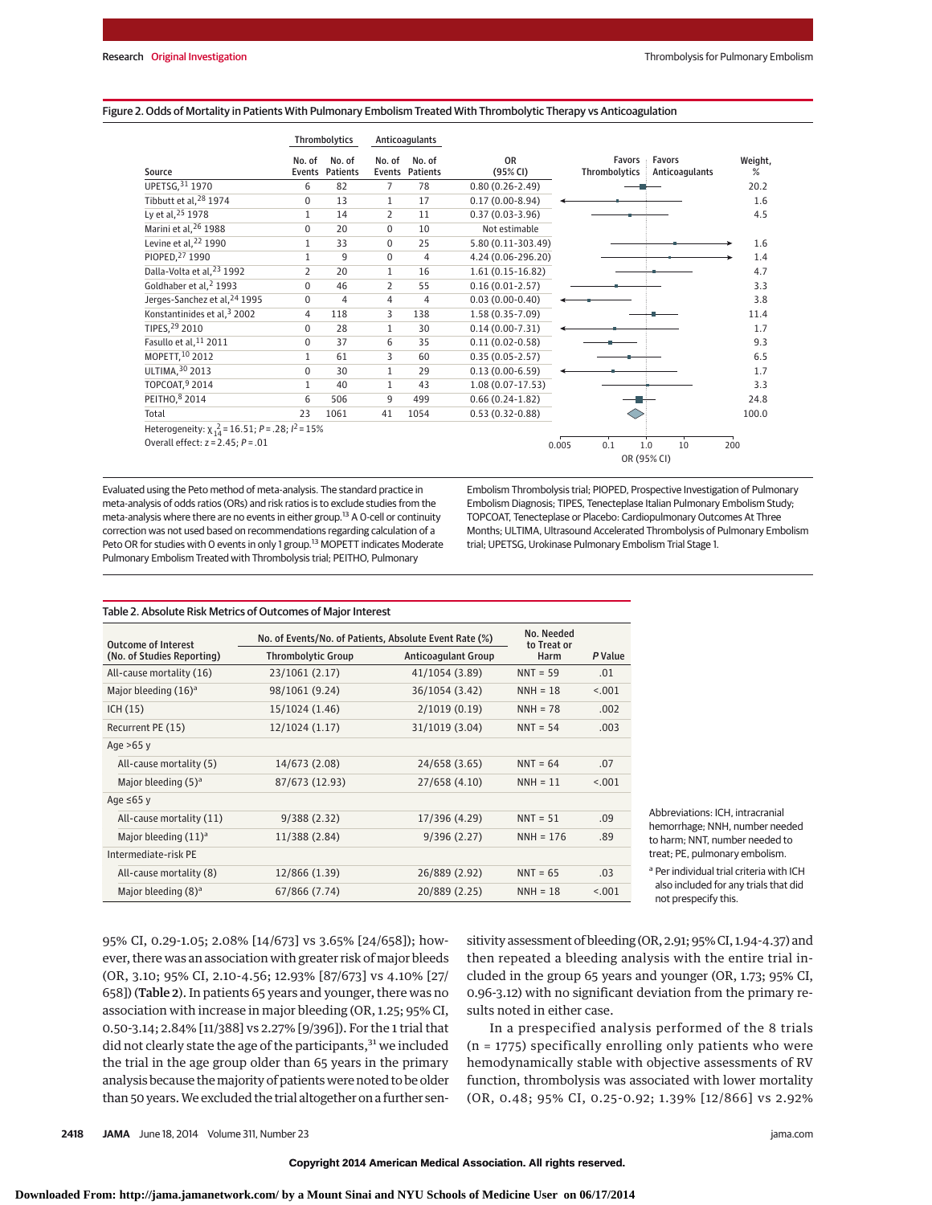#### Figure 2. Odds of Mortality in Patients With Pulmonary Embolism Treated With Thrombolytic Therapy vs Anticoagulation

| Thrombolytics                                                |                         | Anticoagulants     |                         |                    |                       |       |                           |                          |              |
|--------------------------------------------------------------|-------------------------|--------------------|-------------------------|--------------------|-----------------------|-------|---------------------------|--------------------------|--------------|
| Source                                                       | No. of<br><b>Events</b> | No. of<br>Patients | No. of<br><b>Events</b> | No. of<br>Patients | <b>OR</b><br>(95% CI) |       | Favors<br>Thrombolytics   | Favors<br>Anticoagulants | Weight,<br>% |
| UPETSG, 31 1970                                              | 6                       | 82                 | 7                       | 78                 | $0.80(0.26 - 2.49)$   |       |                           |                          | 20.2         |
| Tibbutt et al, <sup>28</sup> 1974                            | $\Omega$                | 13                 | $\mathbf{1}$            | 17                 | $0.17(0.00-8.94)$     |       |                           |                          | 1.6          |
| Ly et al, 25 1978                                            | $\mathbf{1}$            | 14                 | $\overline{2}$          | 11                 | $0.37(0.03 - 3.96)$   |       |                           |                          | 4.5          |
| Marini et al, 26 1988                                        | $\Omega$                | 20                 | $\Omega$                | 10                 | Not estimable         |       |                           |                          |              |
| Levine et al. $^{22}$ 1990                                   | $\mathbf{1}$            | 33                 | $\Omega$                | 25                 | 5.80 (0.11-303.49)    |       |                           |                          | 1.6          |
| PIOPED, 27 1990                                              | $\mathbf{1}$            | 9                  | $\Omega$                | 4                  | 4.24 (0.06-296.20)    |       |                           |                          | 1.4          |
| Dalla-Volta et al, <sup>23</sup> 1992                        | $\overline{2}$          | 20                 | $\mathbf{1}$            | 16                 | $1.61(0.15-16.82)$    |       |                           |                          | 4.7          |
| Goldhaber et al, <sup>2</sup> 1993                           | $\Omega$                | 46                 | $\overline{2}$          | 55                 | $0.16(0.01-2.57)$     |       |                           |                          | 3.3          |
| Jerges-Sanchez et al, <sup>24</sup> 1995                     | $\Omega$                | 4                  | 4                       | $\overline{4}$     | $0.03(0.00-0.40)$     |       |                           |                          | 3.8          |
| Konstantinides et al, 3 2002                                 | 4                       | 118                | 3                       | 138                | $1.58(0.35 - 7.09)$   |       |                           |                          | 11.4         |
| TIPES, 29 2010                                               | $\Omega$                | 28                 | $\mathbf{1}$            | 30                 | $0.14(0.00-7.31)$     |       |                           |                          | 1.7          |
| Fasullo et al, 11 2011                                       | $\Omega$                | 37                 | 6                       | 35                 | $0.11(0.02 - 0.58)$   |       |                           |                          | 9.3          |
| MOPETT. <sup>10</sup> 2012                                   | $\mathbf{1}$            | 61                 | 3                       | 60                 | $0.35(0.05 - 2.57)$   |       |                           |                          | 6.5          |
| ULTIMA, 30 2013                                              | $\Omega$                | 30                 | $\mathbf{1}$            | 29                 | $0.13(0.00-6.59)$     |       |                           |                          | 1.7          |
| TOPCOAT. <sup>9</sup> 2014                                   | $\mathbf{1}$            | 40                 | $\mathbf{1}$            | 43                 | $1.08(0.07-17.53)$    |       |                           |                          | 3.3          |
| PEITHO, 8 2014                                               | 6                       | 506                | 9                       | 499                | $0.66(0.24-1.82)$     |       |                           |                          | 24.8         |
| Total                                                        | 23                      | 1061               | 41                      | 1054               | $0.53(0.32 - 0.88)$   |       |                           |                          | 100.0        |
| Heterogeneity: $\chi^{2}_{14}$ = 16.51; P = .28; $l^2$ = 15% |                         |                    |                         |                    |                       |       |                           |                          |              |
| Overall effect: $z = 2.45$ ; $P = .01$                       |                         |                    |                         |                    |                       | 0.005 | 1.0<br>0.1<br>OR (95% CI) | 10                       | 200          |

Evaluated using the Peto method of meta-analysis. The standard practice in meta-analysis of odds ratios (ORs) and risk ratios is to exclude studies from the meta-analysis where there are no events in either group.<sup>13</sup> A O-cell or continuity correction was not used based on recommendations regarding calculation of a Peto OR for studies with 0 events in only 1 group.<sup>13</sup> MOPETT indicates Moderate Pulmonary Embolism Treated with Thrombolysis trial; PEITHO, Pulmonary

Embolism Thrombolysis trial; PIOPED, Prospective Investigation of Pulmonary Embolism Diagnosis; TIPES, Tenecteplase Italian Pulmonary Embolism Study; TOPCOAT, Tenecteplase or Placebo: Cardiopulmonary Outcomes At Three Months; ULTIMA, Ultrasound Accelerated Thrombolysis of Pulmonary Embolism trial; UPETSG, Urokinase Pulmonary Embolism Trial Stage 1.

## Table 2. Absolute Risk Metrics of Outcomes of Major Interest

| <b>Outcome of Interest</b> | No. of Events/No. of Patients, Absolute Event Rate (%) | No. Needed<br>to Treat or  |             |         |
|----------------------------|--------------------------------------------------------|----------------------------|-------------|---------|
| (No. of Studies Reporting) | <b>Thrombolytic Group</b>                              | <b>Anticoagulant Group</b> | Harm        | P Value |
| All-cause mortality (16)   | 23/1061 (2.17)                                         | 41/1054 (3.89)             | $NNT = 59$  | .01     |
| Major bleeding $(16)^a$    | 98/1061 (9.24)                                         | 36/1054 (3.42)             | $NNH = 18$  | < 0.001 |
| ICH(15)                    | 15/1024 (1.46)                                         | 2/1019(0.19)               | $NNH = 78$  | .002    |
| Recurrent PE (15)          | 12/1024 (1.17)                                         | 31/1019 (3.04)             | $NNT = 54$  | .003    |
| Age $>65$ y                |                                                        |                            |             |         |
| All-cause mortality (5)    | 14/673 (2.08)                                          | 24/658 (3.65)              | $NNT = 64$  | .07     |
| Major bleeding $(5)^a$     | 87/673 (12.93)                                         | 27/658 (4.10)              | $NNH = 11$  | < 0.001 |
| Age $\leq 65$ y            |                                                        |                            |             |         |
| All-cause mortality (11)   | 9/388(2.32)                                            | 17/396 (4.29)              | $NNT = 51$  | .09     |
| Major bleeding $(11)^a$    | 11/388 (2.84)                                          | 9/396(2.27)                | $NNH = 176$ | .89     |
| Intermediate-risk PE       |                                                        |                            |             |         |
| All-cause mortality (8)    | 12/866 (1.39)                                          | 26/889 (2.92)              | $NNT = 65$  | .03     |
| Major bleeding $(8)^a$     | 67/866 (7.74)                                          | 20/889 (2.25)              | $NNH = 18$  | < 0.001 |

Abbreviations: ICH, intracranial hemorrhage; NNH, number needed to harm; NNT, number needed to treat; PE, pulmonary embolism. a Per individual trial criteria with ICH

also included for any trials that did not prespecify this.

95% CI, 0.29-1.05; 2.08% [14/673] vs 3.65% [24/658]); however, there was an association with greater risk of major bleeds (OR, 3.10; 95% CI, 2.10-4.56; 12.93% [87/673] vs 4.10% [27/ 658]) (Table 2). In patients 65 years and younger, there was no association with increase in major bleeding (OR, 1.25; 95% CI, 0.50-3.14; 2.84% [11/388] vs 2.27% [9/396]). For the 1 trial that did not clearly state the age of the participants,<sup>31</sup> we included the trial in the age group older than 65 years in the primary analysis because the majority of patients were noted to be older than 50 years.We excluded the trial altogether on a further sensitivity assessment of bleeding (OR, 2.91; 95% CI, 1.94-4.37) and then repeated a bleeding analysis with the entire trial included in the group 65 years and younger (OR, 1.73; 95% CI, 0.96-3.12) with no significant deviation from the primary results noted in either case.

In a prespecified analysis performed of the 8 trials (n = 1775) specifically enrolling only patients who were hemodynamically stable with objective assessments of RV function, thrombolysis was associated with lower mortality (OR, 0.48; 95% CI, 0.25-0.92; 1.39% [12/866] vs 2.92%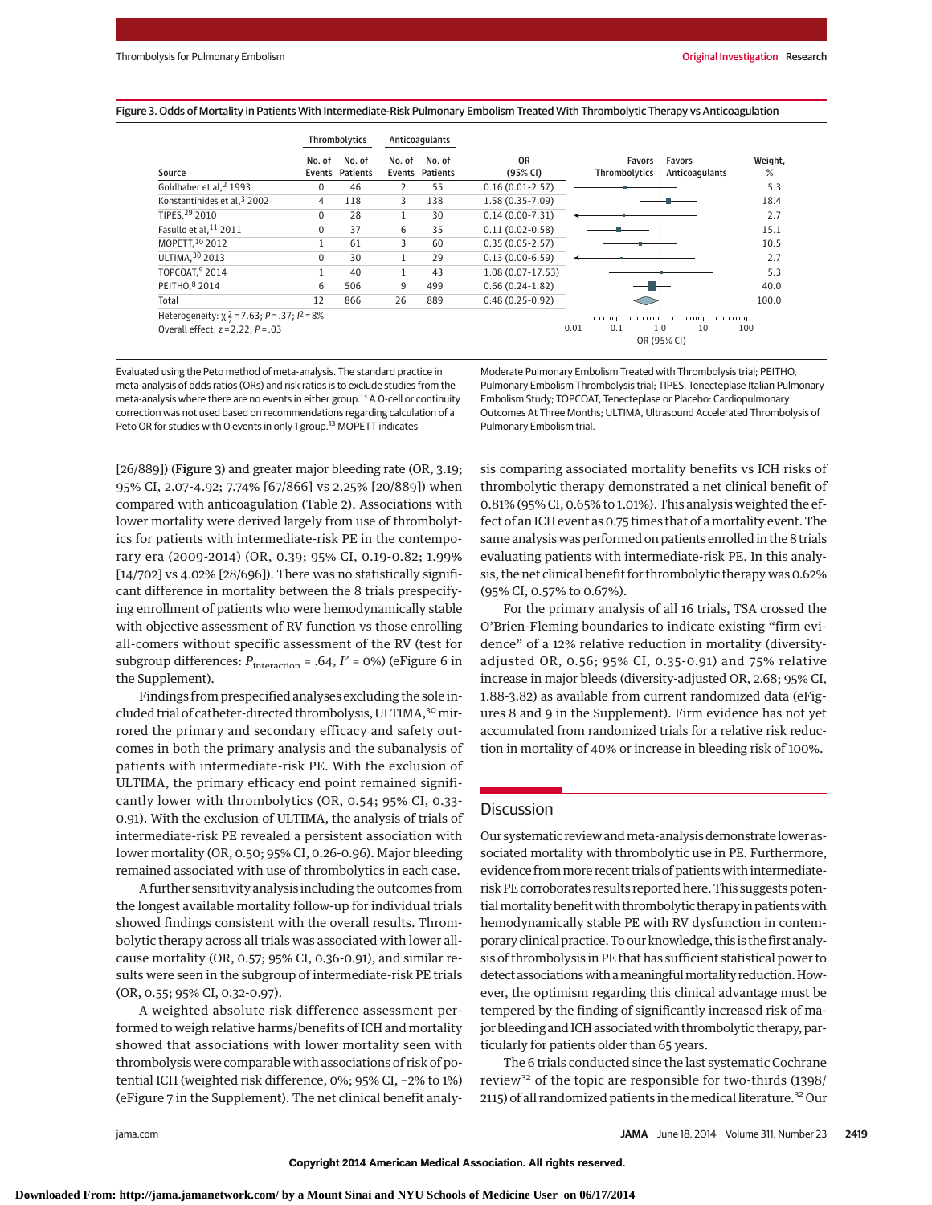#### Figure 3. Odds of Mortality in Patients With Intermediate-Risk Pulmonary Embolism Treated With Thrombolytic Therapy vs Anticoagulation

|                                                     | <b>Thrombolytics</b> |                           | Anticoagulants |                           |                      |      |                                |                          |              |
|-----------------------------------------------------|----------------------|---------------------------|----------------|---------------------------|----------------------|------|--------------------------------|--------------------------|--------------|
| Source                                              | No. of               | No. of<br>Events Patients | No. of         | No. of<br>Events Patients | 0R<br>(95% CI)       |      | Favors<br><b>Thrombolytics</b> | Favors<br>Anticoagulants | Weight,<br>% |
| Goldhaber et al. <sup>2</sup> 1993                  | $\Omega$             | 46                        | $\overline{2}$ | 55                        | $0.16(0.01-2.57)$    |      |                                |                          | 5.3          |
| Konstantinides et al. <sup>3</sup> 2002             | 4                    | 118                       | 3              | 138                       | $1.58(0.35 - 7.09)$  |      |                                |                          | 18.4         |
| TIPES. <sup>29</sup> 2010                           | $\mathbf 0$          | 28                        |                | 30                        | $0.14(0.00-7.31)$    |      |                                |                          | 2.7          |
| Fasullo et al, 11 2011                              | $\mathbf 0$          | 37                        | 6              | 35                        | $0.11(0.02 - 0.58)$  |      |                                |                          | 15.1         |
| MOPETT, 10 2012                                     | 1                    | 61                        | 3              | 60                        | $0.35(0.05 - 2.57)$  |      |                                |                          | 10.5         |
| ULTIMA. 30 2013                                     | $\Omega$             | 30                        |                | 29                        | $0.13(0.00 - 6.59)$  |      |                                |                          | 2.7          |
| TOPCOAT, 9 2014                                     | $\mathbf{1}$         | 40                        |                | 43                        | $1.08(0.07 - 17.53)$ |      |                                |                          | 5.3          |
| PEITHO.8 2014                                       | 6                    | 506                       | q              | 499                       | $0.66(0.24-1.82)$    |      |                                |                          | 40.0         |
| Total                                               | 12                   | 866                       | 26             | 889                       | $0.48(0.25-0.92)$    |      |                                |                          | 100.0        |
| Heterogeneity: $\chi^2$ = 7.63; P = .37; $l^2$ = 8% |                      |                           |                |                           |                      | ┯┯┯┯ |                                |                          |              |
| Overall effect: $z = 2.22$ ; $P = .03$              |                      |                           |                |                           |                      | 0.01 | 0.1                            | 1.0<br>10<br>OR (95% CI) | 100          |

Evaluated using the Peto method of meta-analysis. The standard practice in meta-analysis of odds ratios (ORs) and risk ratios is to exclude studies from the meta-analysis where there are no events in either group.13 A 0-cell or continuity correction was not used based on recommendations regarding calculation of a Peto OR for studies with 0 events in only 1 group.<sup>13</sup> MOPETT indicates

Moderate Pulmonary Embolism Treated with Thrombolysis trial; PEITHO, Pulmonary Embolism Thrombolysis trial; TIPES, Tenecteplase Italian Pulmonary Embolism Study; TOPCOAT, Tenecteplase or Placebo: Cardiopulmonary Outcomes At Three Months; ULTIMA, Ultrasound Accelerated Thrombolysis of Pulmonary Embolism trial.

[26/889]) (Figure 3) and greater major bleeding rate (OR, 3.19; 95% CI, 2.07-4.92; 7.74% [67/866] vs 2.25% [20/889]) when compared with anticoagulation (Table 2). Associations with lower mortality were derived largely from use of thrombolytics for patients with intermediate-risk PE in the contemporary era (2009-2014) (OR, 0.39; 95% CI, 0.19-0.82; 1.99% [14/702] vs 4.02% [28/696]). There was no statistically significant difference in mortality between the 8 trials prespecifying enrollment of patients who were hemodynamically stable with objective assessment of RV function vs those enrolling all-comers without specific assessment of the RV (test for subgroup differences:  $P_{\text{interaction}} = .64$ ,  $I^2 = 0\%$ ) (eFigure 6 in the Supplement).

Findings from prespecified analyses excluding the sole included trial of catheter-directed thrombolysis, ULTIMA,<sup>30</sup> mirrored the primary and secondary efficacy and safety outcomes in both the primary analysis and the subanalysis of patients with intermediate-risk PE. With the exclusion of ULTIMA, the primary efficacy end point remained significantly lower with thrombolytics (OR, 0.54; 95% CI, 0.33- 0.91). With the exclusion of ULTIMA, the analysis of trials of intermediate-risk PE revealed a persistent association with lower mortality (OR, 0.50; 95% CI, 0.26-0.96). Major bleeding remained associated with use of thrombolytics in each case.

A further sensitivity analysis including the outcomes from the longest available mortality follow-up for individual trials showed findings consistent with the overall results. Thrombolytic therapy across all trials was associated with lower allcause mortality (OR, 0.57; 95% CI, 0.36-0.91), and similar results were seen in the subgroup of intermediate-risk PE trials (OR, 0.55; 95% CI, 0.32-0.97).

A weighted absolute risk difference assessment performed to weigh relative harms/benefits of ICH and mortality showed that associations with lower mortality seen with thrombolysis were comparable with associations of risk of potential ICH (weighted risk difference, 0%; 95% CI, −2% to 1%) (eFigure 7 in the Supplement). The net clinical benefit analysis comparing associated mortality benefits vs ICH risks of thrombolytic therapy demonstrated a net clinical benefit of 0.81% (95% CI, 0.65% to 1.01%). This analysis weighted the effect of an ICH event as 0.75 times that of a mortality event. The same analysis was performed on patients enrolled in the 8 trials evaluating patients with intermediate-risk PE. In this analysis, the net clinical benefit for thrombolytic therapy was 0.62% (95% CI, 0.57% to 0.67%).

For the primary analysis of all 16 trials, TSA crossed the O'Brien-Fleming boundaries to indicate existing "firm evidence" of a 12% relative reduction in mortality (diversityadjusted OR, 0.56; 95% CI, 0.35-0.91) and 75% relative increase in major bleeds (diversity-adjusted OR, 2.68; 95% CI, 1.88-3.82) as available from current randomized data (eFigures 8 and 9 in the Supplement). Firm evidence has not yet accumulated from randomized trials for a relative risk reduction in mortality of 40% or increase in bleeding risk of 100%.

## **Discussion**

Our systematic review and meta-analysis demonstrate lower associated mortality with thrombolytic use in PE. Furthermore, evidence frommore recent trials of patients with intermediaterisk PE corroborates results reported here. This suggests potential mortality benefit with thrombolytic therapy in patients with hemodynamically stable PE with RV dysfunction in contemporary clinical practice. To our knowledge, this is the first analysis of thrombolysis in PE that has sufficient statistical power to detect associations with a meaningful mortality reduction. However, the optimism regarding this clinical advantage must be tempered by the finding of significantly increased risk of major bleeding and ICH associated with thrombolytic therapy, particularly for patients older than 65 years.

The 6 trials conducted since the last systematic Cochrane review<sup>32</sup> of the topic are responsible for two-thirds (1398/ 2115) of all randomized patients in the medical literature.<sup>32</sup> Our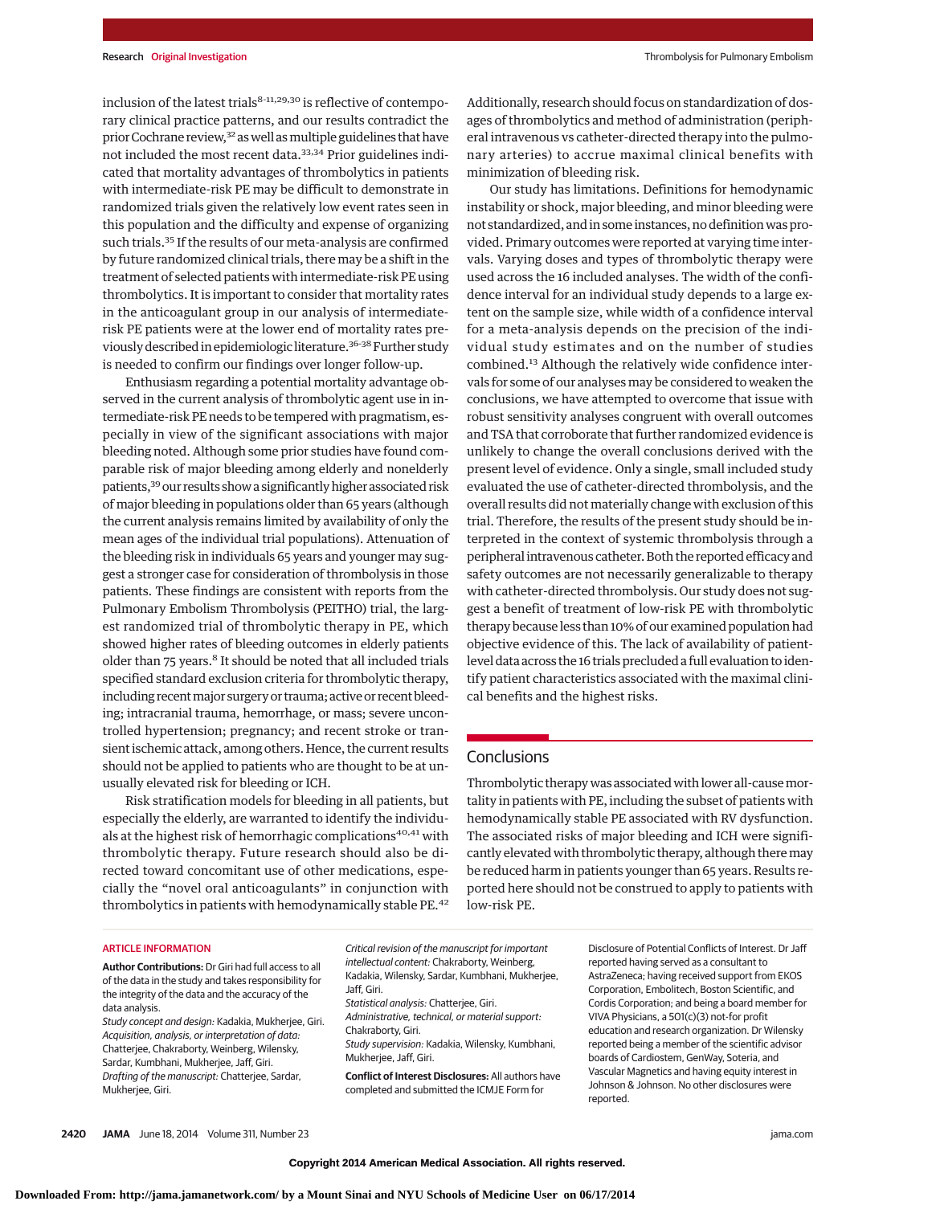inclusion of the latest trials $8-11,29,30$  is reflective of contemporary clinical practice patterns, and our results contradict the prior Cochrane review,<sup>32</sup> as well as multiple guidelines that have not included the most recent data.<sup>33,34</sup> Prior guidelines indicated that mortality advantages of thrombolytics in patients with intermediate-risk PE may be difficult to demonstrate in randomized trials given the relatively low event rates seen in this population and the difficulty and expense of organizing such trials.35 If the results of our meta-analysis are confirmed by future randomized clinical trials, there may be a shift in the treatment of selected patients with intermediate-risk PE using thrombolytics. It is important to consider that mortality rates in the anticoagulant group in our analysis of intermediaterisk PE patients were at the lower end of mortality rates previously described in epidemiologic literature.<sup>36-38</sup> Further study is needed to confirm our findings over longer follow-up.

Enthusiasm regarding a potential mortality advantage observed in the current analysis of thrombolytic agent use in intermediate-risk PE needs to be tempered with pragmatism, especially in view of the significant associations with major bleeding noted. Although some prior studies have found comparable risk of major bleeding among elderly and nonelderly patients,<sup>39</sup> our results show a significantly higher associated risk of major bleeding in populations older than 65 years (although the current analysis remains limited by availability of only the mean ages of the individual trial populations). Attenuation of the bleeding risk in individuals 65 years and younger may suggest a stronger case for consideration of thrombolysis in those patients. These findings are consistent with reports from the Pulmonary Embolism Thrombolysis (PEITHO) trial, the largest randomized trial of thrombolytic therapy in PE, which showed higher rates of bleeding outcomes in elderly patients older than 75 years.<sup>8</sup> It should be noted that all included trials specified standard exclusion criteria for thrombolytic therapy, including recent major surgery or trauma; active or recent bleeding; intracranial trauma, hemorrhage, or mass; severe uncontrolled hypertension; pregnancy; and recent stroke or transient ischemic attack, among others. Hence, the current results should not be applied to patients who are thought to be at unusually elevated risk for bleeding or ICH.

Risk stratification models for bleeding in all patients, but especially the elderly, are warranted to identify the individuals at the highest risk of hemorrhagic complications<sup>40,41</sup> with thrombolytic therapy. Future research should also be directed toward concomitant use of other medications, especially the "novel oral anticoagulants" in conjunction with thrombolytics in patients with hemodynamically stable PE.<sup>42</sup>

Additionally, research should focus on standardization of dosages of thrombolytics and method of administration (peripheral intravenous vs catheter-directed therapy into the pulmonary arteries) to accrue maximal clinical benefits with minimization of bleeding risk.

Our study has limitations. Definitions for hemodynamic instability or shock, major bleeding, and minor bleeding were not standardized, and in some instances, no definition was provided. Primary outcomes were reported at varying time intervals. Varying doses and types of thrombolytic therapy were used across the 16 included analyses. The width of the confidence interval for an individual study depends to a large extent on the sample size, while width of a confidence interval for a meta-analysis depends on the precision of the individual study estimates and on the number of studies combined.<sup>13</sup> Although the relatively wide confidence intervals for some of our analyses may be considered to weaken the conclusions, we have attempted to overcome that issue with robust sensitivity analyses congruent with overall outcomes and TSA that corroborate that further randomized evidence is unlikely to change the overall conclusions derived with the present level of evidence. Only a single, small included study evaluated the use of catheter-directed thrombolysis, and the overall results did not materially change with exclusion of this trial. Therefore, the results of the present study should be interpreted in the context of systemic thrombolysis through a peripheral intravenous catheter. Both the reported efficacy and safety outcomes are not necessarily generalizable to therapy with catheter-directed thrombolysis. Our study does not suggest a benefit of treatment of low-risk PE with thrombolytic therapy because less than 10% of our examined population had objective evidence of this. The lack of availability of patientlevel data across the 16 trials precluded a full evaluation to identify patient characteristics associated with the maximal clinical benefits and the highest risks.

## **Conclusions**

Thrombolytic therapy was associated with lower all-cause mortality in patients with PE, including the subset of patients with hemodynamically stable PE associated with RV dysfunction. The associated risks of major bleeding and ICH were significantly elevated with thrombolytic therapy, although theremay be reduced harm in patients younger than 65 years. Results reported here should not be construed to apply to patients with low-risk PE.

#### ARTICLE INFORMATION

**Author Contributions:** Dr Giri had full access to all of the data in the study and takes responsibility for the integrity of the data and the accuracy of the data analysis.

Study concept and design: Kadakia, Mukherjee, Giri. Acquisition, analysis, or interpretation of data: Chatterjee, Chakraborty, Weinberg, Wilensky, Sardar, Kumbhani, Mukherjee, Jaff, Giri. Drafting of the manuscript: Chatterjee, Sardar, Mukherjee, Giri.

Critical revision of the manuscript for important intellectual content: Chakraborty, Weinberg, Kadakia, Wilensky, Sardar, Kumbhani, Mukherjee, Jaff, Giri.

Statistical analysis: Chatterjee, Giri. Administrative, technical, or material support: Chakraborty, Giri.

Study supervision: Kadakia, Wilensky, Kumbhani, Mukherjee, Jaff, Giri.

**Conflict of Interest Disclosures:** All authors have completed and submitted the ICMJE Form for

Disclosure of Potential Conflicts of Interest. Dr Jaff reported having served as a consultant to AstraZeneca; having received support from EKOS Corporation, Embolitech, Boston Scientific, and Cordis Corporation; and being a board member for VIVA Physicians, a 501(c)(3) not-for profit education and research organization. Dr Wilensky reported being a member of the scientific advisor boards of Cardiostem, GenWay, Soteria, and Vascular Magnetics and having equity interest in Johnson & Johnson. No other disclosures were reported.